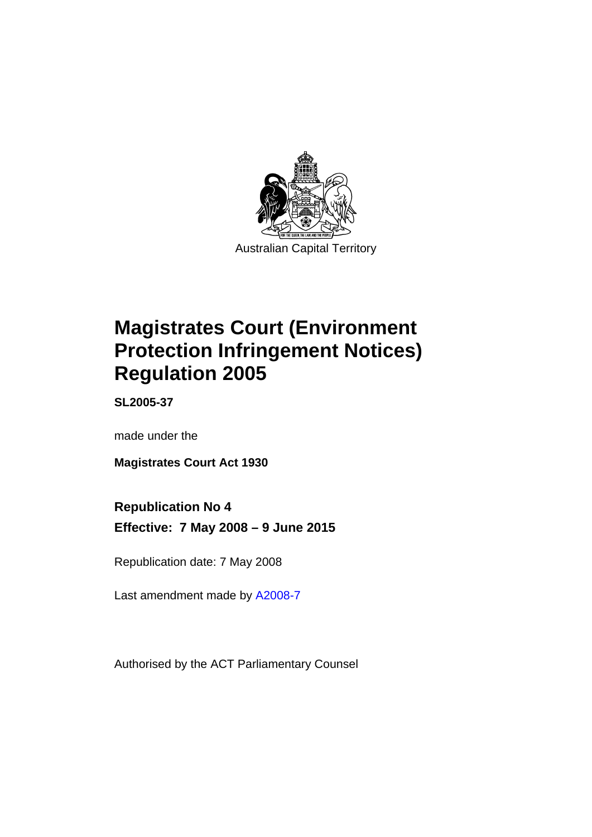

# **Magistrates Court (Environment Protection Infringement Notices) Regulation 2005**

**SL2005-37** 

made under the

**Magistrates Court Act 1930** 

# **Republication No 4**

**Effective: 7 May 2008 – 9 June 2015** 

Republication date: 7 May 2008

Last amendment made by [A2008-7](http://www.legislation.act.gov.au/a/2008-7)

Authorised by the ACT Parliamentary Counsel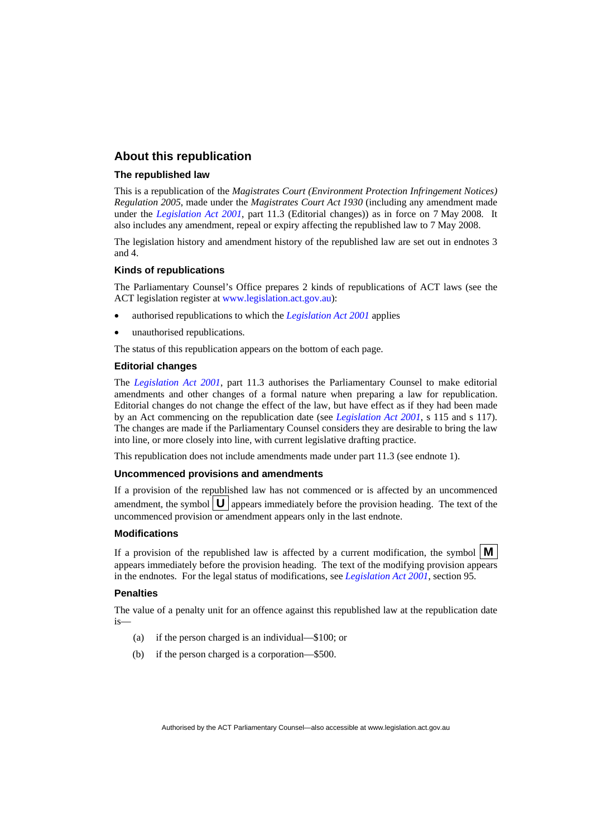### **About this republication**

### **The republished law**

This is a republication of the *Magistrates Court (Environment Protection Infringement Notices) Regulation 2005*, made under the *Magistrates Court Act 1930* (including any amendment made under the *[Legislation Act 2001](http://www.legislation.act.gov.au/a/2001-14)*, part 11.3 (Editorial changes)) as in force on 7 May 2008*.* It also includes any amendment, repeal or expiry affecting the republished law to 7 May 2008.

The legislation history and amendment history of the republished law are set out in endnotes 3 and 4.

### **Kinds of republications**

The Parliamentary Counsel's Office prepares 2 kinds of republications of ACT laws (see the ACT legislation register at [www.legislation.act.gov.au](http://www.legislation.act.gov.au/)):

- authorised republications to which the *[Legislation Act 2001](http://www.legislation.act.gov.au/a/2001-14)* applies
- unauthorised republications.

The status of this republication appears on the bottom of each page.

### **Editorial changes**

The *[Legislation Act 2001](http://www.legislation.act.gov.au/a/2001-14)*, part 11.3 authorises the Parliamentary Counsel to make editorial amendments and other changes of a formal nature when preparing a law for republication. Editorial changes do not change the effect of the law, but have effect as if they had been made by an Act commencing on the republication date (see *[Legislation Act 2001](http://www.legislation.act.gov.au/a/2001-14)*, s 115 and s 117). The changes are made if the Parliamentary Counsel considers they are desirable to bring the law into line, or more closely into line, with current legislative drafting practice.

This republication does not include amendments made under part 11.3 (see endnote 1).

#### **Uncommenced provisions and amendments**

If a provision of the republished law has not commenced or is affected by an uncommenced amendment, the symbol  $\mathbf{U}$  appears immediately before the provision heading. The text of the uncommenced provision or amendment appears only in the last endnote.

#### **Modifications**

If a provision of the republished law is affected by a current modification, the symbol  $\mathbf{M}$ appears immediately before the provision heading. The text of the modifying provision appears in the endnotes. For the legal status of modifications, see *[Legislation Act 2001](http://www.legislation.act.gov.au/a/2001-14)*, section 95.

### **Penalties**

The value of a penalty unit for an offence against this republished law at the republication date is—

- (a) if the person charged is an individual—\$100; or
- (b) if the person charged is a corporation—\$500.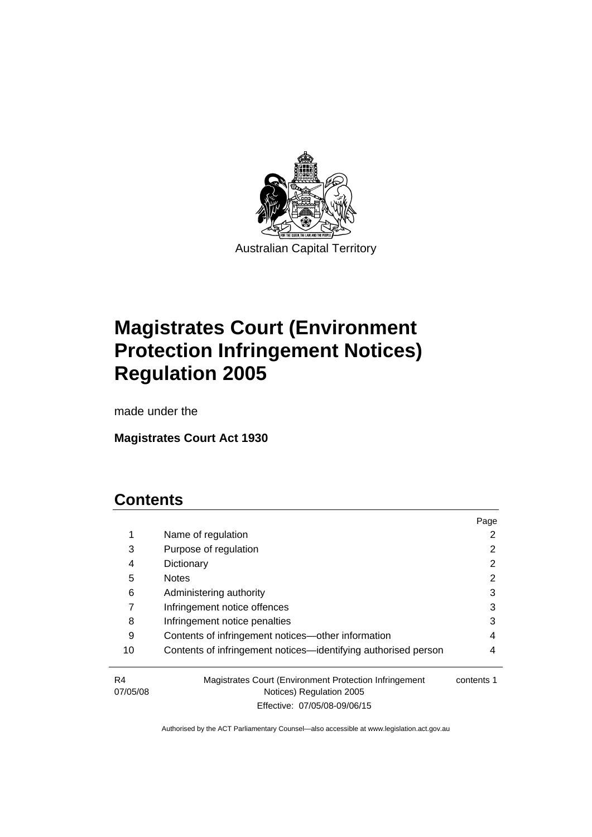

# **Magistrates Court (Environment Protection Infringement Notices) Regulation 2005**

made under the

**Magistrates Court Act 1930** 

# **Contents**

|                |                                                                                    | Page       |
|----------------|------------------------------------------------------------------------------------|------------|
| 1              | Name of regulation                                                                 |            |
| 3              | Purpose of regulation                                                              |            |
| 4              | Dictionary                                                                         | 2          |
| 5              | <b>Notes</b>                                                                       | 2          |
| 6              | Administering authority                                                            | 3          |
|                | Infringement notice offences                                                       | 3          |
| 8              | Infringement notice penalties                                                      | 3          |
| 9              | Contents of infringement notices—other information                                 | 4          |
| 10             | Contents of infringement notices—identifying authorised person                     | 4          |
| R4<br>07/05/08 | Magistrates Court (Environment Protection Infringement<br>Notices) Regulation 2005 | contents 1 |

Effective: 07/05/08-09/06/15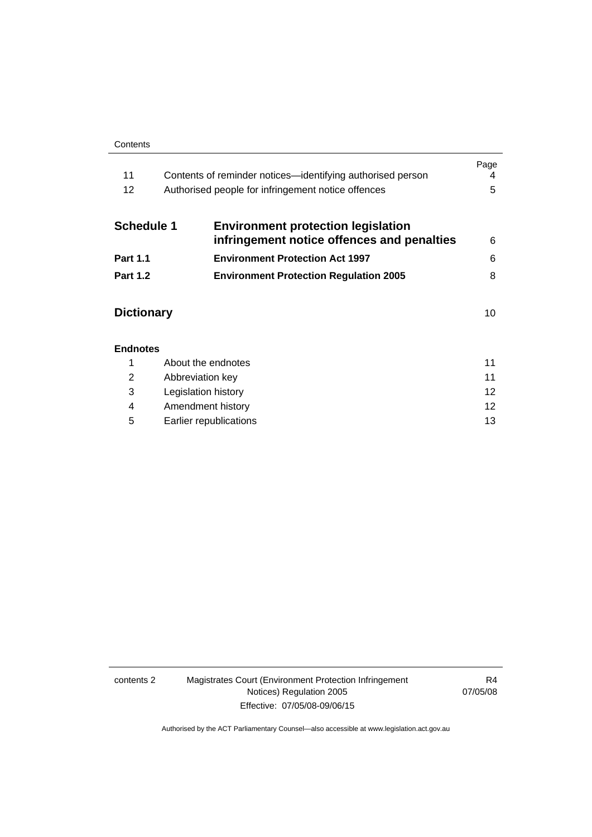#### **Contents**

| 11<br>12          | Contents of reminder notices—identifying authorised person<br>Authorised people for infringement notice offences | Page<br>4<br>5 |
|-------------------|------------------------------------------------------------------------------------------------------------------|----------------|
| <b>Schedule 1</b> | <b>Environment protection legislation</b><br>infringement notice offences and penalties                          | 6              |
| <b>Part 1.1</b>   | <b>Environment Protection Act 1997</b>                                                                           | 6              |
| <b>Part 1.2</b>   | <b>Environment Protection Regulation 2005</b>                                                                    | 8              |
| <b>Dictionary</b> |                                                                                                                  | 10             |
| <b>Endnotes</b>   |                                                                                                                  |                |
|                   | About the endnotes                                                                                               | 11             |
|                   | Abbreviation kev                                                                                                 | 11             |

|   | <b><i><u>HUDICTION</u></i></b> |     |
|---|--------------------------------|-----|
|   | Legislation history            |     |
|   | Amendment history              | 12  |
| 5 | Earlier republications         | 13. |

### contents 2 Magistrates Court (Environment Protection Infringement Notices) Regulation 2005 Effective: 07/05/08-09/06/15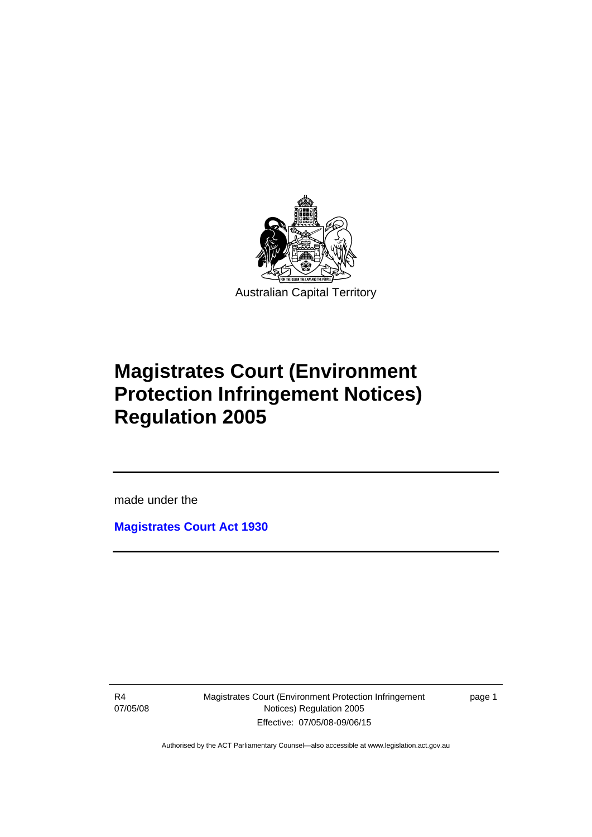

# **Magistrates Court (Environment Protection Infringement Notices) Regulation 2005**

made under the

**[Magistrates Court Act 1930](http://www.legislation.act.gov.au/a/1930-21)**

R4 07/05/08

Ī

Magistrates Court (Environment Protection Infringement Notices) Regulation 2005 Effective: 07/05/08-09/06/15

page 1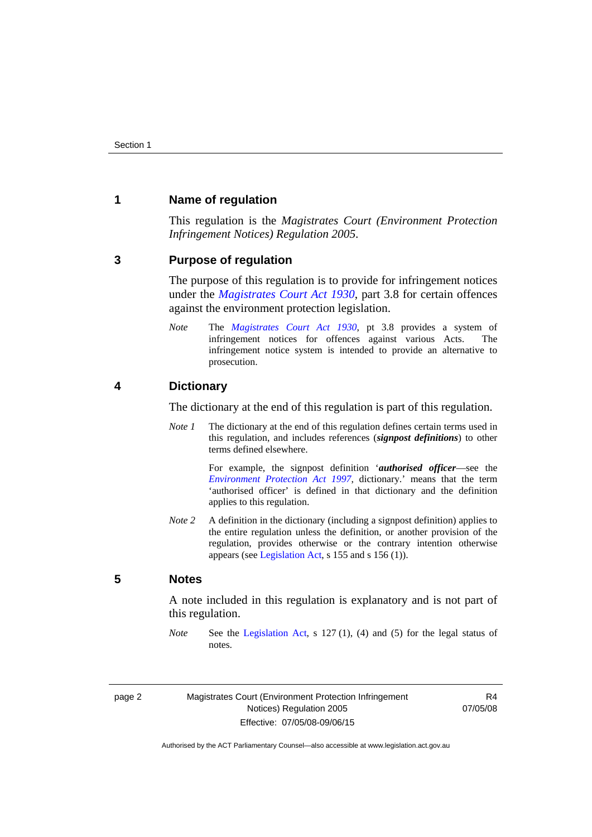### <span id="page-5-0"></span>**1 Name of regulation**

This regulation is the *Magistrates Court (Environment Protection Infringement Notices) Regulation 2005*.

### <span id="page-5-1"></span>**3 Purpose of regulation**

The purpose of this regulation is to provide for infringement notices under the *[Magistrates Court Act 1930](http://www.legislation.act.gov.au/a/1930-21)*, part 3.8 for certain offences against the environment protection legislation.

*Note* The *[Magistrates Court Act 1930](http://www.legislation.act.gov.au/a/1930-21)*, pt 3.8 provides a system of infringement notices for offences against various Acts. The infringement notice system is intended to provide an alternative to prosecution.

### <span id="page-5-2"></span>**4 Dictionary**

The dictionary at the end of this regulation is part of this regulation.

*Note 1* The dictionary at the end of this regulation defines certain terms used in this regulation, and includes references (*signpost definitions*) to other terms defined elsewhere.

> For example, the signpost definition '*authorised officer*—see the *[Environment Protection Act 1997](http://www.legislation.act.gov.au/a/1997-92)*, dictionary.' means that the term 'authorised officer' is defined in that dictionary and the definition applies to this regulation.

*Note 2* A definition in the dictionary (including a signpost definition) applies to the entire regulation unless the definition, or another provision of the regulation, provides otherwise or the contrary intention otherwise appears (see [Legislation Act,](http://www.legislation.act.gov.au/a/2001-14) s 155 and s 156 (1)).

## <span id="page-5-3"></span>**5 Notes**

A note included in this regulation is explanatory and is not part of this regulation.

*Note* See the [Legislation Act,](http://www.legislation.act.gov.au/a/2001-14) s 127 (1), (4) and (5) for the legal status of notes.

R4 07/05/08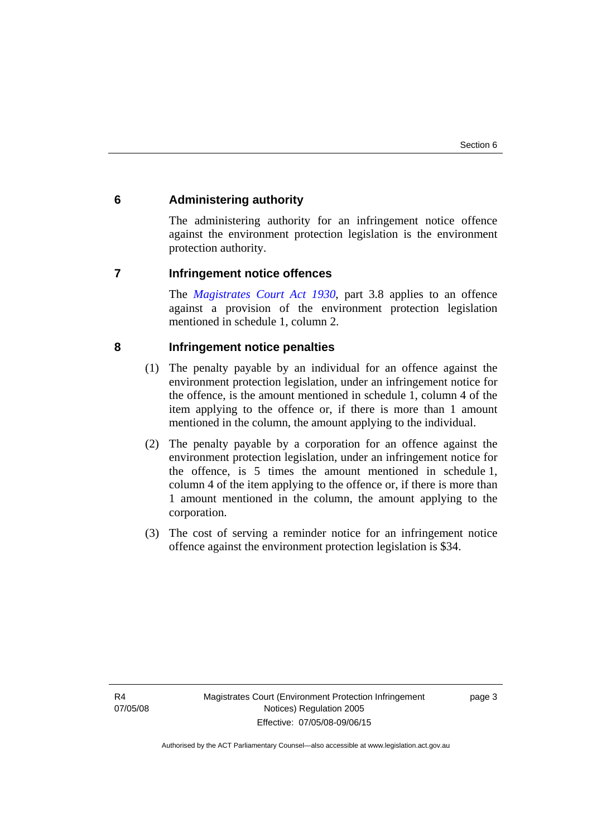### <span id="page-6-0"></span>**6 Administering authority**

The administering authority for an infringement notice offence against the environment protection legislation is the environment protection authority.

### <span id="page-6-1"></span>**7 Infringement notice offences**

The *[Magistrates Court Act 1930](http://www.legislation.act.gov.au/a/1930-21)*, part 3.8 applies to an offence against a provision of the environment protection legislation mentioned in schedule 1, column 2.

### <span id="page-6-2"></span>**8 Infringement notice penalties**

- (1) The penalty payable by an individual for an offence against the environment protection legislation, under an infringement notice for the offence, is the amount mentioned in schedule 1, column 4 of the item applying to the offence or, if there is more than 1 amount mentioned in the column, the amount applying to the individual.
- (2) The penalty payable by a corporation for an offence against the environment protection legislation, under an infringement notice for the offence, is 5 times the amount mentioned in schedule 1, column 4 of the item applying to the offence or, if there is more than 1 amount mentioned in the column, the amount applying to the corporation.
- (3) The cost of serving a reminder notice for an infringement notice offence against the environment protection legislation is \$34.

page 3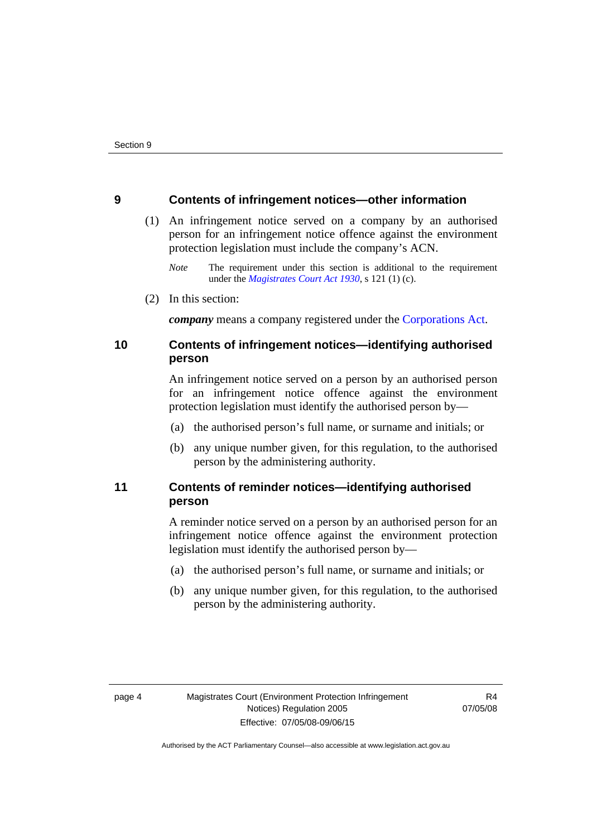### <span id="page-7-0"></span>**9 Contents of infringement notices—other information**

- (1) An infringement notice served on a company by an authorised person for an infringement notice offence against the environment protection legislation must include the company's ACN.
	- *Note* The requirement under this section is additional to the requirement under the *[Magistrates Court Act 1930](http://www.legislation.act.gov.au/a/1930-21)*, s 121 (1) (c).
- (2) In this section:

*company* means a company registered under the [Corporations Act.](http://www.comlaw.gov.au/Series/C2004A00818)

# <span id="page-7-1"></span>**10 Contents of infringement notices—identifying authorised person**

An infringement notice served on a person by an authorised person for an infringement notice offence against the environment protection legislation must identify the authorised person by—

- (a) the authorised person's full name, or surname and initials; or
- (b) any unique number given, for this regulation, to the authorised person by the administering authority.

# <span id="page-7-2"></span>**11 Contents of reminder notices—identifying authorised person**

A reminder notice served on a person by an authorised person for an infringement notice offence against the environment protection legislation must identify the authorised person by—

- (a) the authorised person's full name, or surname and initials; or
- (b) any unique number given, for this regulation, to the authorised person by the administering authority.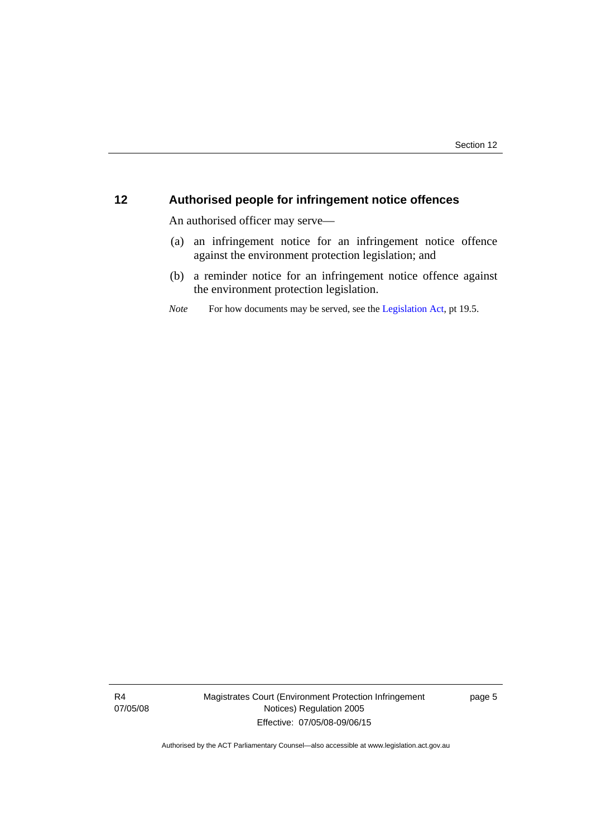# <span id="page-8-0"></span>**12 Authorised people for infringement notice offences**

An authorised officer may serve—

- (a) an infringement notice for an infringement notice offence against the environment protection legislation; and
- (b) a reminder notice for an infringement notice offence against the environment protection legislation.
- *Note* For how documents may be served, see the [Legislation Act,](http://www.legislation.act.gov.au/a/2001-14) pt 19.5.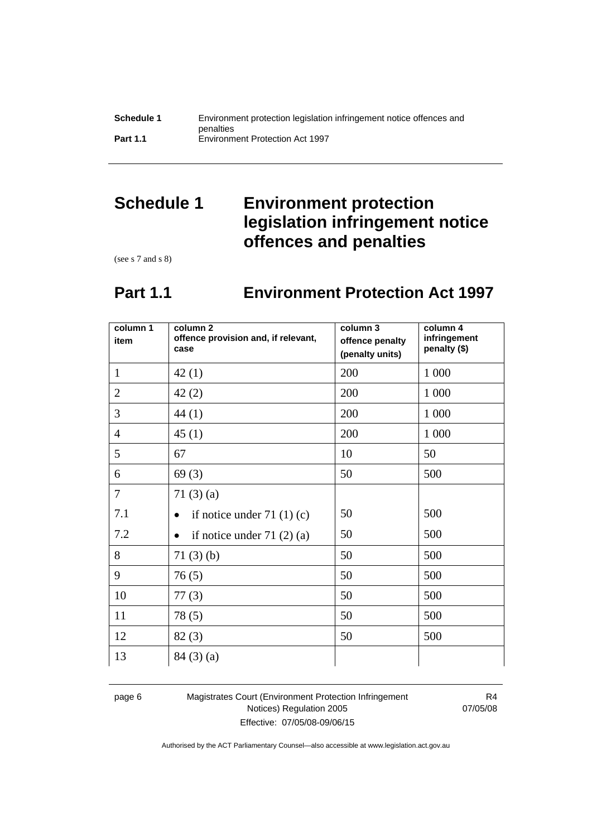# <span id="page-9-0"></span>**Schedule 1 Environment protection legislation infringement notice offences and penalties**

(see s 7 and s 8)

# **Part 1.1 Environment Protection Act 1997**

<span id="page-9-1"></span>

| column 1<br>item | column <sub>2</sub><br>offence provision and, if relevant,<br>case | column 3<br>offence penalty<br>(penalty units) | column 4<br>infringement<br>penalty (\$) |
|------------------|--------------------------------------------------------------------|------------------------------------------------|------------------------------------------|
| $\mathbf{1}$     | 42(1)                                                              | 200                                            | 1 0 0 0                                  |
| $\overline{2}$   | 42(2)                                                              | 200                                            | 1 000                                    |
| 3                | 44(1)                                                              | 200                                            | 1 0 0 0                                  |
| $\overline{4}$   | 45(1)                                                              | 200                                            | 1 000                                    |
| 5                | 67                                                                 | 10                                             | 50                                       |
| 6                | 69(3)                                                              | 50                                             | 500                                      |
| $\overline{7}$   | 71 $(3)(a)$                                                        |                                                |                                          |
| 7.1              | if notice under $71(1)(c)$                                         | 50                                             | 500                                      |
| 7.2              | if notice under $71(2)(a)$                                         | 50                                             | 500                                      |
| 8                | 71(3)(b)                                                           | 50                                             | 500                                      |
| 9                | 76(5)                                                              | 50                                             | 500                                      |
| 10               | 77(3)                                                              | 50                                             | 500                                      |
| 11               | 78(5)                                                              | 50                                             | 500                                      |
| 12               | 82(3)                                                              | 50                                             | 500                                      |
| 13               | 84(3)(a)                                                           |                                                |                                          |

page 6 Magistrates Court (Environment Protection Infringement Notices) Regulation 2005 Effective: 07/05/08-09/06/15

R4 07/05/08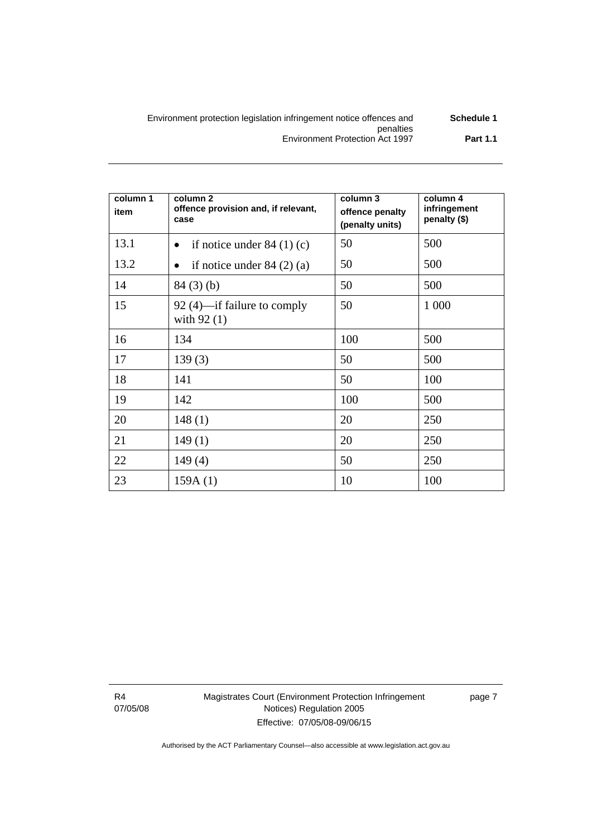| Schedule 1      | Environment protection legislation infringement notice offences and |
|-----------------|---------------------------------------------------------------------|
|                 | penalties                                                           |
| <b>Part 1.1</b> | Environment Protection Act 1997                                     |

| column 1<br>item | column 2<br>offence provision and, if relevant,<br>case | column 3<br>offence penalty<br>(penalty units) | column 4<br>infringement<br>penalty (\$) |
|------------------|---------------------------------------------------------|------------------------------------------------|------------------------------------------|
| 13.1             | if notice under $84(1)(c)$<br>$\bullet$                 | 50                                             | 500                                      |
| 13.2             | if notice under $84(2)(a)$<br>$\bullet$                 | 50                                             | 500                                      |
| 14               | 84(3)(b)                                                | 50                                             | 500                                      |
| 15               | 92 (4)—if failure to comply<br>with $92(1)$             | 50                                             | 1 000                                    |
| 16               | 134                                                     | 100                                            | 500                                      |
| 17               | 139(3)                                                  | 50                                             | 500                                      |
| 18               | 141                                                     | 50                                             | 100                                      |
| 19               | 142                                                     | 100                                            | 500                                      |
| 20               | 148(1)                                                  | 20                                             | 250                                      |
| 21               | 149(1)                                                  | 20                                             | 250                                      |
| 22               | 149(4)                                                  | 50                                             | 250                                      |
| 23               | 159A(1)                                                 | 10                                             | 100                                      |

R4 07/05/08 Magistrates Court (Environment Protection Infringement Notices) Regulation 2005 Effective: 07/05/08-09/06/15

page 7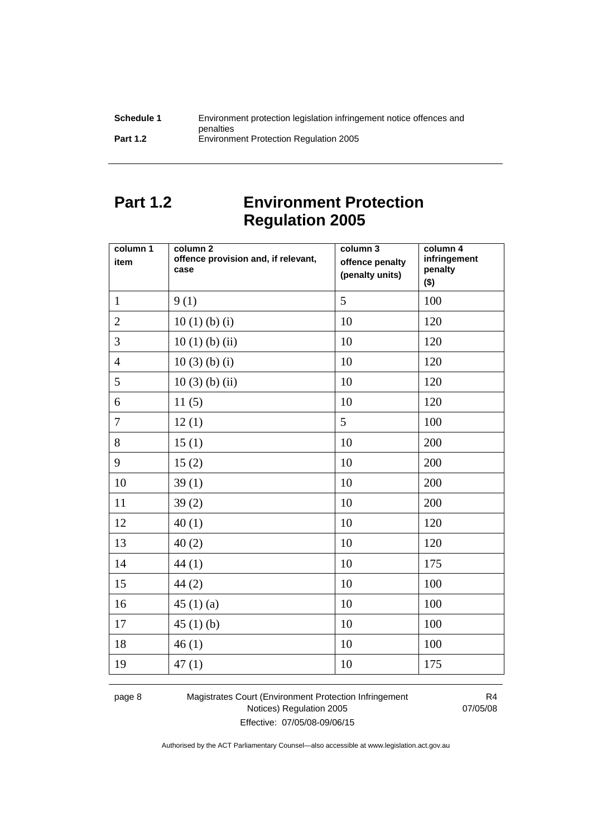| Schedule 1      | Environment protection legislation infringement notice offences and |
|-----------------|---------------------------------------------------------------------|
|                 | penalties                                                           |
| <b>Part 1.2</b> | <b>Environment Protection Regulation 2005</b>                       |

# <span id="page-11-0"></span>**Part 1.2 Environment Protection Regulation 2005**

| column 1<br>item | column 2<br>offence provision and, if relevant,<br>case | column 3<br>offence penalty<br>(penalty units) | column 4<br>infringement<br>penalty<br>$($ \$) |
|------------------|---------------------------------------------------------|------------------------------------------------|------------------------------------------------|
| $\mathbf{1}$     | 9(1)                                                    | 5                                              | 100                                            |
| $\overline{2}$   | 10(1)(b)(i)                                             | 10                                             | 120                                            |
| 3                | $10(1)$ (b) (ii)                                        | 10                                             | 120                                            |
| $\overline{4}$   | $10(3)$ (b) (i)                                         | 10                                             | 120                                            |
| 5                | $10(3)$ (b) (ii)                                        | 10                                             | 120                                            |
| 6                | 11(5)                                                   | 10                                             | 120                                            |
| $\overline{7}$   | 12(1)                                                   | 5                                              | 100                                            |
| 8                | 15(1)                                                   | 10                                             | 200                                            |
| 9                | 15(2)                                                   | 10                                             | 200                                            |
| 10               | 39(1)                                                   | 10                                             | 200                                            |
| 11               | 39(2)                                                   | 10                                             | 200                                            |
| 12               | 40(1)                                                   | 10                                             | 120                                            |
| 13               | 40(2)                                                   | 10                                             | 120                                            |
| 14               | 44(1)                                                   | 10                                             | 175                                            |
| 15               | 44(2)                                                   | 10                                             | 100                                            |
| 16               | 45(1)(a)                                                | 10                                             | 100                                            |
| 17               | 45(1)(b)                                                | 10                                             | 100                                            |
| 18               | 46(1)                                                   | 10                                             | 100                                            |
| 19               | 47(1)                                                   | 10                                             | 175                                            |

page 8 Magistrates Court (Environment Protection Infringement Notices) Regulation 2005 Effective: 07/05/08-09/06/15

R4 07/05/08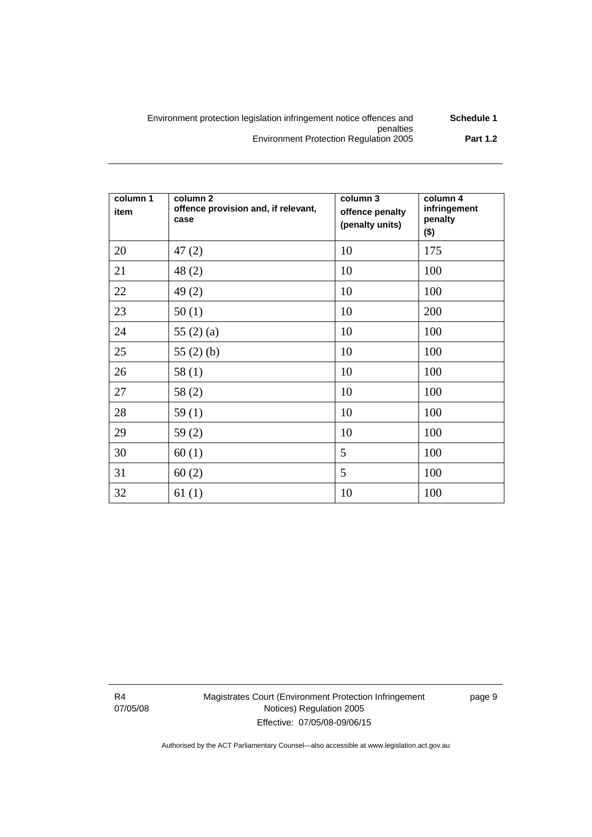| Schedule 1      | Environment protection legislation infringement notice offences and |
|-----------------|---------------------------------------------------------------------|
|                 | penalties                                                           |
| <b>Part 1.2</b> | <b>Environment Protection Regulation 2005</b>                       |

| column 1<br>item | column 2<br>offence provision and, if relevant,<br>case | column 3<br>offence penalty<br>(penalty units) | column 4<br>infringement<br>penalty<br>$($ \$) |
|------------------|---------------------------------------------------------|------------------------------------------------|------------------------------------------------|
| 20               | 47(2)                                                   | 10                                             | 175                                            |
| 21               | 48(2)                                                   | 10                                             | 100                                            |
| 22               | 49(2)                                                   | 10                                             | 100                                            |
| 23               | 50(1)                                                   | 10                                             | 200                                            |
| 24               | 55 $(2)$ $(a)$                                          | 10                                             | 100                                            |
| 25               | 55 $(2)$ $(b)$                                          | 10                                             | 100                                            |
| 26               | 58(1)                                                   | 10                                             | 100                                            |
| 27               | 58(2)                                                   | 10                                             | 100                                            |
| 28               | 59(1)                                                   | 10                                             | 100                                            |
| 29               | 59(2)                                                   | 10                                             | 100                                            |
| 30               | 60(1)                                                   | 5                                              | 100                                            |
| 31               | 60(2)                                                   | 5                                              | 100                                            |
| 32               | 61(1)                                                   | 10                                             | 100                                            |

R4 07/05/08 Magistrates Court (Environment Protection Infringement Notices) Regulation 2005 Effective: 07/05/08-09/06/15

page 9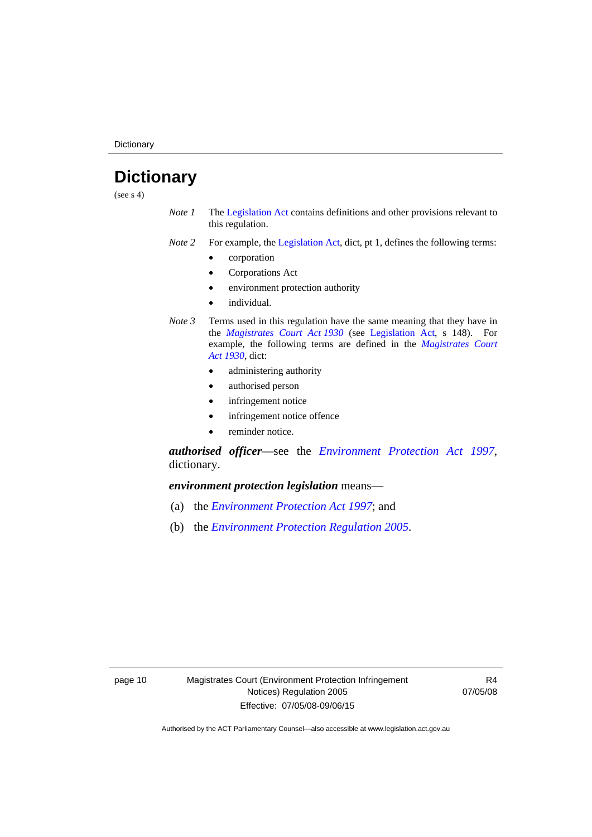**Dictionary** 

# <span id="page-13-0"></span>**Dictionary**

(see  $s$  4)

- *Note 1* The [Legislation Act](http://www.legislation.act.gov.au/a/2001-14) contains definitions and other provisions relevant to this regulation.
- *Note 2* For example, the [Legislation Act,](http://www.legislation.act.gov.au/a/2001-14) dict, pt 1, defines the following terms:
	- corporation
	- Corporations Act
	- environment protection authority
	- individual.
- *Note 3* Terms used in this regulation have the same meaning that they have in the *[Magistrates Court Act 1930](http://www.legislation.act.gov.au/a/1930-21)* (see [Legislation Act](http://www.legislation.act.gov.au/a/2001-14), s 148). For example, the following terms are defined in the *[Magistrates Court](http://www.legislation.act.gov.au/a/1930-21)  [Act 1930](http://www.legislation.act.gov.au/a/1930-21)*, dict:
	- administering authority
	- authorised person
	- infringement notice
	- infringement notice offence
	- reminder notice.

*authorised officer*—see the *[Environment Protection Act 1997](http://www.legislation.act.gov.au/a/1997-92)*, dictionary.

*environment protection legislation* means—

- (a) the *[Environment Protection Act 1997](http://www.legislation.act.gov.au/a/1997-92)*; and
- (b) the *[Environment Protection Regulation 2005](http://www.legislation.act.gov.au/sl/2005-38)*.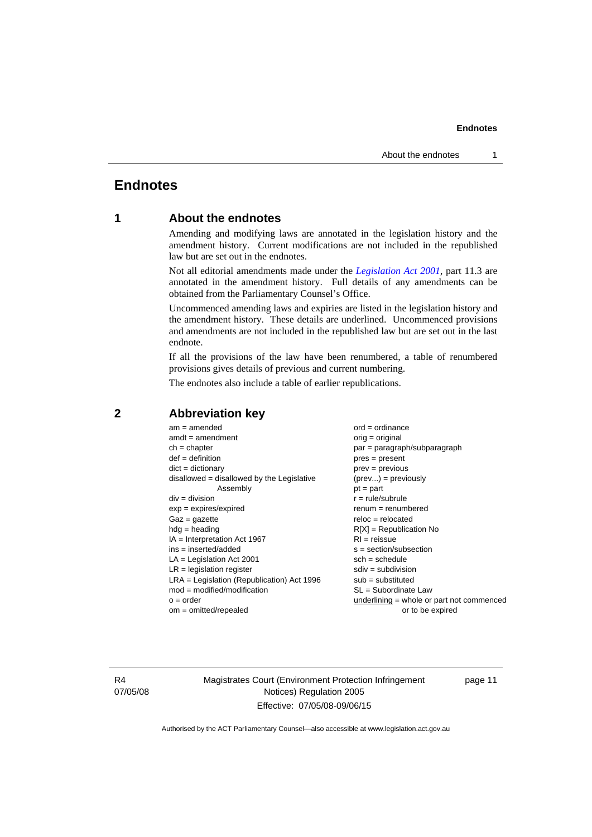### **Endnotes**

# <span id="page-14-0"></span>**Endnotes**

## **1 About the endnotes**

Amending and modifying laws are annotated in the legislation history and the amendment history. Current modifications are not included in the republished law but are set out in the endnotes.

Not all editorial amendments made under the *[Legislation Act 2001](http://www.legislation.act.gov.au/a/2001-14)*, part 11.3 are annotated in the amendment history. Full details of any amendments can be obtained from the Parliamentary Counsel's Office.

Uncommenced amending laws and expiries are listed in the legislation history and the amendment history. These details are underlined. Uncommenced provisions and amendments are not included in the republished law but are set out in the last endnote.

If all the provisions of the law have been renumbered, a table of renumbered provisions gives details of previous and current numbering.

The endnotes also include a table of earlier republications.

| $am = amended$                               | $ord = ordinance$                         |
|----------------------------------------------|-------------------------------------------|
| $amdt = amendment$                           | $orig = original$                         |
| $ch = chapter$                               | $par = paragraph/subparagraph$            |
| $def = definition$                           | $pres = present$                          |
| $dict = dictionary$                          | $prev = previous$                         |
| $disallowed = disallowed by the Legislative$ | $(\text{prev}) = \text{previously}$       |
| Assembly                                     | $pt = part$                               |
| $div = division$                             | $r = rule/subrule$                        |
| $exp = expires/expired$                      | $remum = renumbered$                      |
| $Gaz = gazette$                              | $reloc = relocated$                       |
| $hdg =$ heading                              | $R[X]$ = Republication No                 |
| $IA = Interpretation Act 1967$               | $RI = reissue$                            |
| $ins = inserted/added$                       | $s = section/subsection$                  |
| $LA =$ Legislation Act 2001                  | $sch = schedule$                          |
| $LR =$ legislation register                  | $sdiv = subdivision$                      |
| $LRA =$ Legislation (Republication) Act 1996 | $sub =$ substituted                       |
| $mod = modified/modification$                | $SL = Subordinate$ Law                    |
| $o = order$                                  | underlining = whole or part not commenced |
| $om = omitted/repealed$                      | or to be expired                          |
|                                              |                                           |

### <span id="page-14-2"></span>**2 Abbreviation key**

R4 07/05/08 Magistrates Court (Environment Protection Infringement Notices) Regulation 2005 Effective: 07/05/08-09/06/15

page 11

<span id="page-14-1"></span>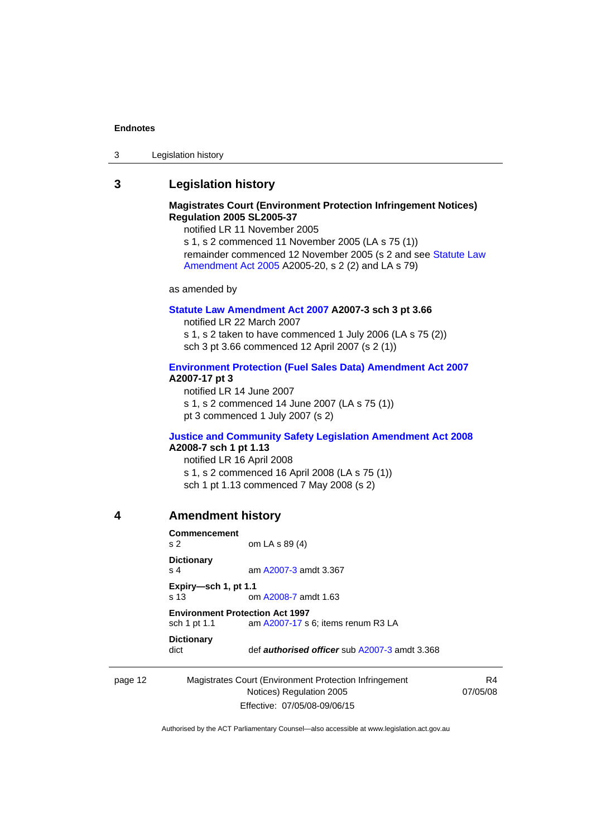#### **Endnotes**

| 3 | Legislation history |
|---|---------------------|
|---|---------------------|

### <span id="page-15-0"></span>**3 Legislation history**

### **Magistrates Court (Environment Protection Infringement Notices) Regulation 2005 SL2005-37**

notified LR 11 November 2005

s 1, s 2 commenced 11 November 2005 (LA s 75 (1)) remainder commenced 12 November 2005 (s 2 and see Statute Law [Amendment Act 2005](http://www.legislation.act.gov.au/a/2005-20) A2005-20, s 2 (2) and LA s 79)

as amended by

### **[Statute Law Amendment Act 2007](http://www.legislation.act.gov.au/a/2007-3) A2007-3 sch 3 pt 3.66**

notified LR 22 March 2007 s 1, s 2 taken to have commenced 1 July 2006 (LA s 75 (2)) sch 3 pt 3.66 commenced 12 April 2007 (s 2 (1))

### **[Environment Protection \(Fuel Sales Data\) Amendment Act 2007](http://www.legislation.act.gov.au/a/2007-17) A2007-17 pt 3**

notified LR 14 June 2007 s 1, s 2 commenced 14 June 2007 (LA s 75 (1)) pt 3 commenced 1 July 2007 (s 2)

### **[Justice and Community Safety Legislation Amendment Act 2008](http://www.legislation.act.gov.au/a/2008-7) A2008-7 sch 1 pt 1.13**

notified LR 16 April 2008 s 1, s 2 commenced 16 April 2008 (LA s 75 (1)) sch 1 pt 1.13 commenced 7 May 2008 (s 2)

### <span id="page-15-1"></span>**4 Amendment history**

| Commencement<br>s <sub>2</sub>                                                               | om LA s 89 (4)                                       |  |
|----------------------------------------------------------------------------------------------|------------------------------------------------------|--|
| <b>Dictionary</b><br>s <sub>4</sub>                                                          | am A2007-3 amdt 3.367                                |  |
| Expiry-sch 1, pt 1.1<br>$\sin 13$                                                            | om A2008-7 amdt 1.63                                 |  |
| <b>Environment Protection Act 1997</b><br>am A2007-17 s 6; items renum R3 LA<br>sch 1 pt 1.1 |                                                      |  |
| <b>Dictionary</b><br>dict                                                                    | def <i>authorised officer</i> sub A2007-3 amdt 3.368 |  |

### page 12 Magistrates Court (Environment Protection Infringement Notices) Regulation 2005 Effective: 07/05/08-09/06/15

R4 07/05/08